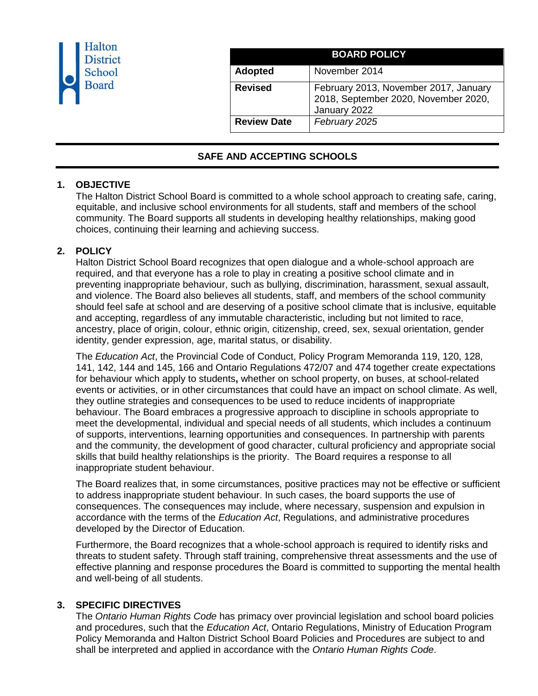| Halton<br><b>District</b><br>School<br><b>Board</b> |                    | <b>BOARD POLICY</b>                                                                           |
|-----------------------------------------------------|--------------------|-----------------------------------------------------------------------------------------------|
|                                                     | <b>Adopted</b>     | November 2014                                                                                 |
|                                                     | <b>Revised</b>     | February 2013, November 2017, January<br>2018, September 2020, November 2020,<br>January 2022 |
|                                                     | <b>Review Date</b> | February 2025                                                                                 |

# **SAFE AND ACCEPTING SCHOOLS**

### **1. OBJECTIVE**

The Halton District School Board is committed to a whole school approach to creating safe, caring, equitable, and inclusive school environments for all students, staff and members of the school community. The Board supports all students in developing healthy relationships, making good choices, continuing their learning and achieving success.

### **2. POLICY**

Halton District School Board recognizes that open dialogue and a whole-school approach are required, and that everyone has a role to play in creating a positive school climate and in preventing inappropriate behaviour, such as bullying, discrimination, harassment, sexual assault, and violence. The Board also believes all students, staff, and members of the school community should feel safe at school and are deserving of a positive school climate that is inclusive, equitable and accepting, regardless of any immutable characteristic, including but not limited to race, ancestry, place of origin, colour, ethnic origin, citizenship, creed, sex, sexual orientation, gender identity, gender expression, age, marital status, or disability.

The *Education Act*, the Provincial Code of Conduct, Policy Program Memoranda 119, 120, 128, 141, 142, 144 and 145, 166 and Ontario Regulations 472/07 and 474 together create expectations for behaviour which apply to students**,** whether on school property, on buses, at school-related events or activities, or in other circumstances that could have an impact on school climate. As well, they outline strategies and consequences to be used to reduce incidents of inappropriate behaviour. The Board embraces a progressive approach to discipline in schools appropriate to meet the developmental, individual and special needs of all students, which includes a continuum of supports, interventions, learning opportunities and consequences. In partnership with parents and the community, the development of good character, cultural proficiency and appropriate social skills that build healthy relationships is the priority. The Board requires a response to all inappropriate student behaviour.

The Board realizes that, in some circumstances, positive practices may not be effective or sufficient to address inappropriate student behaviour. In such cases, the board supports the use of consequences. The consequences may include, where necessary, suspension and expulsion in accordance with the terms of the *Education Act*, Regulations, and administrative procedures developed by the Director of Education.

Furthermore, the Board recognizes that a whole-school approach is required to identify risks and threats to student safety. Through staff training, comprehensive threat assessments and the use of effective planning and response procedures the Board is committed to supporting the mental health and well-being of all students.

# **3. SPECIFIC DIRECTIVES**

The *Ontario Human Rights Code* has primacy over provincial legislation and school board policies and procedures, such that the *Education Act*, Ontario Regulations, Ministry of Education Program Policy Memoranda and Halton District School Board Policies and Procedures are subject to and shall be interpreted and applied in accordance with the *Ontario Human Rights Code*.